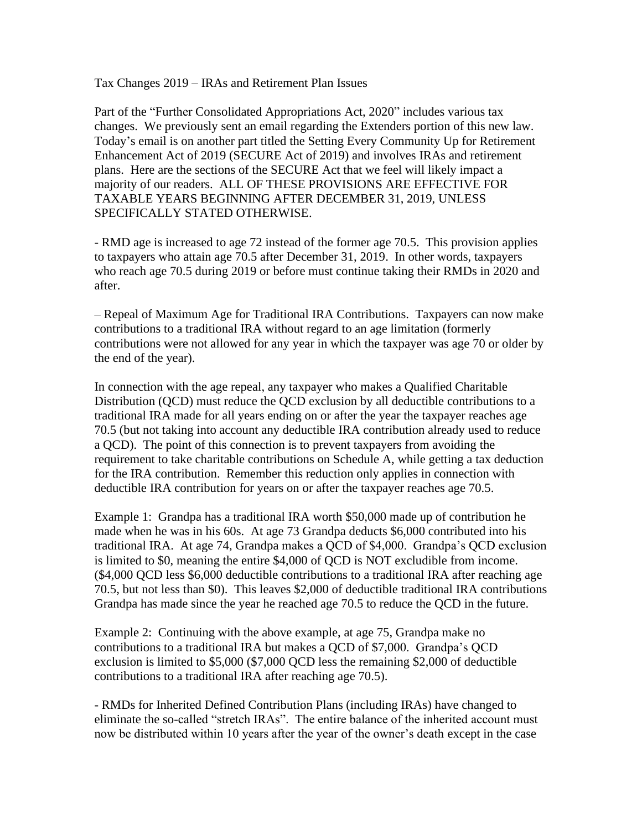Tax Changes 2019 – IRAs and Retirement Plan Issues

Part of the "Further Consolidated Appropriations Act, 2020" includes various tax changes. We previously sent an email regarding the Extenders portion of this new law. Today's email is on another part titled the Setting Every Community Up for Retirement Enhancement Act of 2019 (SECURE Act of 2019) and involves IRAs and retirement plans. Here are the sections of the SECURE Act that we feel will likely impact a majority of our readers. ALL OF THESE PROVISIONS ARE EFFECTIVE FOR TAXABLE YEARS BEGINNING AFTER DECEMBER 31, 2019, UNLESS SPECIFICALLY STATED OTHERWISE.

- RMD age is increased to age 72 instead of the former age 70.5. This provision applies to taxpayers who attain age 70.5 after December 31, 2019. In other words, taxpayers who reach age 70.5 during 2019 or before must continue taking their RMDs in 2020 and after.

– Repeal of Maximum Age for Traditional IRA Contributions. Taxpayers can now make contributions to a traditional IRA without regard to an age limitation (formerly contributions were not allowed for any year in which the taxpayer was age 70 or older by the end of the year).

In connection with the age repeal, any taxpayer who makes a Qualified Charitable Distribution (QCD) must reduce the QCD exclusion by all deductible contributions to a traditional IRA made for all years ending on or after the year the taxpayer reaches age 70.5 (but not taking into account any deductible IRA contribution already used to reduce a QCD). The point of this connection is to prevent taxpayers from avoiding the requirement to take charitable contributions on Schedule A, while getting a tax deduction for the IRA contribution. Remember this reduction only applies in connection with deductible IRA contribution for years on or after the taxpayer reaches age 70.5.

Example 1: Grandpa has a traditional IRA worth \$50,000 made up of contribution he made when he was in his 60s. At age 73 Grandpa deducts \$6,000 contributed into his traditional IRA. At age 74, Grandpa makes a QCD of \$4,000. Grandpa's QCD exclusion is limited to \$0, meaning the entire \$4,000 of QCD is NOT excludible from income. (\$4,000 QCD less \$6,000 deductible contributions to a traditional IRA after reaching age 70.5, but not less than \$0). This leaves \$2,000 of deductible traditional IRA contributions Grandpa has made since the year he reached age 70.5 to reduce the QCD in the future.

Example 2: Continuing with the above example, at age 75, Grandpa make no contributions to a traditional IRA but makes a QCD of \$7,000. Grandpa's QCD exclusion is limited to \$5,000 (\$7,000 QCD less the remaining \$2,000 of deductible contributions to a traditional IRA after reaching age 70.5).

- RMDs for Inherited Defined Contribution Plans (including IRAs) have changed to eliminate the so-called "stretch IRAs". The entire balance of the inherited account must now be distributed within 10 years after the year of the owner's death except in the case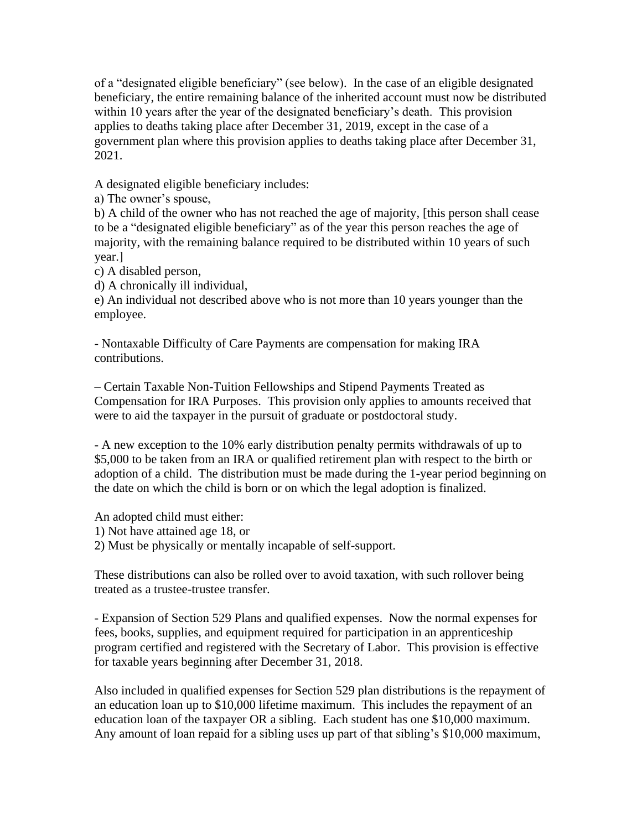of a "designated eligible beneficiary" (see below). In the case of an eligible designated beneficiary, the entire remaining balance of the inherited account must now be distributed within 10 years after the year of the designated beneficiary's death. This provision applies to deaths taking place after December 31, 2019, except in the case of a government plan where this provision applies to deaths taking place after December 31, 2021.

A designated eligible beneficiary includes:

a) The owner's spouse,

b) A child of the owner who has not reached the age of majority, [this person shall cease to be a "designated eligible beneficiary" as of the year this person reaches the age of majority, with the remaining balance required to be distributed within 10 years of such year.]

c) A disabled person,

d) A chronically ill individual,

e) An individual not described above who is not more than 10 years younger than the employee.

- Nontaxable Difficulty of Care Payments are compensation for making IRA contributions.

– Certain Taxable Non-Tuition Fellowships and Stipend Payments Treated as Compensation for IRA Purposes. This provision only applies to amounts received that were to aid the taxpayer in the pursuit of graduate or postdoctoral study.

- A new exception to the 10% early distribution penalty permits withdrawals of up to \$5,000 to be taken from an IRA or qualified retirement plan with respect to the birth or adoption of a child. The distribution must be made during the 1-year period beginning on the date on which the child is born or on which the legal adoption is finalized.

An adopted child must either:

1) Not have attained age 18, or

2) Must be physically or mentally incapable of self-support.

These distributions can also be rolled over to avoid taxation, with such rollover being treated as a trustee-trustee transfer.

- Expansion of Section 529 Plans and qualified expenses. Now the normal expenses for fees, books, supplies, and equipment required for participation in an apprenticeship program certified and registered with the Secretary of Labor. This provision is effective for taxable years beginning after December 31, 2018.

Also included in qualified expenses for Section 529 plan distributions is the repayment of an education loan up to \$10,000 lifetime maximum. This includes the repayment of an education loan of the taxpayer OR a sibling. Each student has one \$10,000 maximum. Any amount of loan repaid for a sibling uses up part of that sibling's \$10,000 maximum,